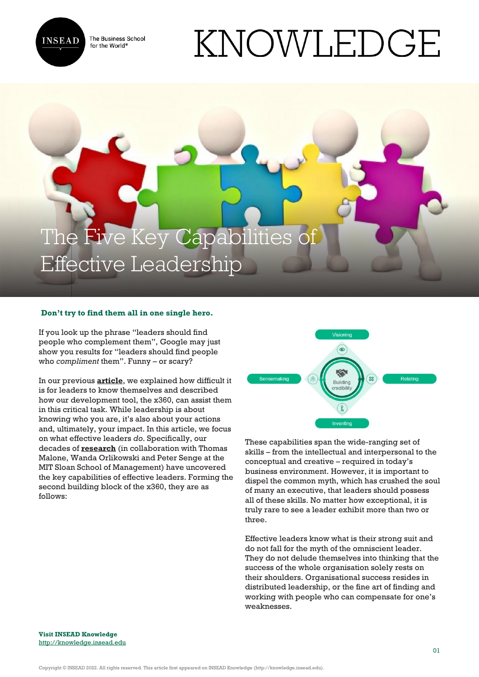

The Business School for the World<sup>®</sup>

# KNOWLEDGE



# **Don't try to find them all in one single hero.**

If you look up the phrase "leaders should find people who complement them", Google may just show you results for "leaders should find people who *compliment* them". Funny – or scary?

In our previous **[article](https://knowledge.insead.edu/leadership-organisations/crafting-your-own-leadership-signature-10281)**, we explained how difficult it is for leaders to know themselves and described how our development tool, the x360, can assist them in this critical task. While leadership is about knowing who you are, it's also about your actions and, ultimately, your impact. In this article, we focus on what effective leaders *do*. Specifically, our decades of **[research](https://hbr.org/2007/02/in-praise-of-the-incomplete-leader)** (in collaboration with Thomas Malone, Wanda Orlikowski and Peter Senge at the MIT Sloan School of Management) have uncovered the key capabilities of effective leaders. Forming the second building block of the x360, they are as follows:



These capabilities span the wide-ranging set of skills – from the intellectual and interpersonal to the conceptual and creative – required in today's business environment. However, it is important to dispel the common myth, which has crushed the soul of many an executive, that leaders should possess all of these skills. No matter how exceptional, it is truly rare to see a leader exhibit more than two or three.

Effective leaders know what is their strong suit and do not fall for the myth of the omniscient leader. They do not delude themselves into thinking that the success of the whole organisation solely rests on their shoulders. Organisational success resides in distributed leadership, or the fine art of finding and working with people who can compensate for one's weaknesses.

**Visit INSEAD Knowledge** <http://knowledge.insead.edu>

Copyright © INSEAD 2022. All rights reserved. This article first appeared on INSEAD Knowledge (http://knowledge.insead.edu).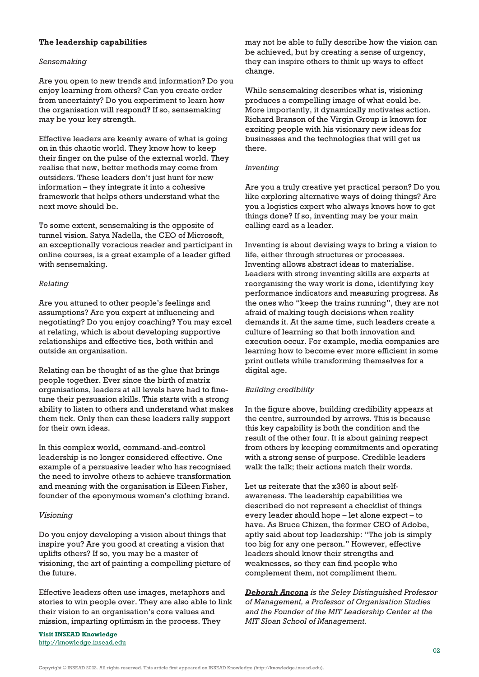### **The leadership capabilities**

### *Sensemaking*

Are you open to new trends and information? Do you enjoy learning from others? Can you create order from uncertainty? Do you experiment to learn how the organisation will respond? If so, sensemaking may be your key strength.

Effective leaders are keenly aware of what is going on in this chaotic world. They know how to keep their finger on the pulse of the external world. They realise that new, better methods may come from outsiders. These leaders don't just hunt for new information – they integrate it into a cohesive framework that helps others understand what the next move should be.

To some extent, sensemaking is the opposite of tunnel vision. Satya Nadella, the CEO of Microsoft, an exceptionally voracious reader and participant in online courses, is a great example of a leader gifted with sensemaking.

### *Relating*

Are you attuned to other people's feelings and assumptions? Are you expert at influencing and negotiating? Do you enjoy coaching? You may excel at relating, which is about developing supportive relationships and effective ties, both within and outside an organisation.

Relating can be thought of as the glue that brings people together. Ever since the birth of matrix organisations, leaders at all levels have had to finetune their persuasion skills. This starts with a strong ability to listen to others and understand what makes them tick. Only then can these leaders rally support for their own ideas.

In this complex world, command-and-control leadership is no longer considered effective. One example of a persuasive leader who has recognised the need to involve others to achieve transformation and meaning with the organisation is Eileen Fisher, founder of the eponymous women's clothing brand.

### *Visioning*

Do you enjoy developing a vision about things that inspire you? Are you good at creating a vision that uplifts others? If so, you may be a master of visioning, the art of painting a compelling picture of the future.

Effective leaders often use images, metaphors and stories to win people over. They are also able to link their vision to an organisation's core values and mission, imparting optimism in the process. They

**Visit INSEAD Knowledge** <http://knowledge.insead.edu> may not be able to fully describe how the vision can be achieved, but by creating a sense of urgency, they can inspire others to think up ways to effect change.

While sensemaking describes what is, visioning produces a compelling image of what could be. More importantly, it dynamically motivates action. Richard Branson of the Virgin Group is known for exciting people with his visionary new ideas for businesses and the technologies that will get us there.

## *Inventing*

Are you a truly creative yet practical person? Do you like exploring alternative ways of doing things? Are you a logistics expert who always knows how to get things done? If so, inventing may be your main calling card as a leader.

Inventing is about devising ways to bring a vision to life, either through structures or processes. Inventing allows abstract ideas to materialise. Leaders with strong inventing skills are experts at reorganising the way work is done, identifying key performance indicators and measuring progress. As the ones who "keep the trains running", they are not afraid of making tough decisions when reality demands it. At the same time, such leaders create a culture of learning so that both innovation and execution occur. For example, media companies are learning how to become ever more efficient in some print outlets while transforming themselves for a digital age.

# *Building credibility*

In the figure above, building credibility appears at the centre, surrounded by arrows. This is because this key capability is both the condition and the result of the other four. It is about gaining respect from others by keeping commitments and operating with a strong sense of purpose. Credible leaders walk the talk; their actions match their words.

Let us reiterate that the x360 is about selfawareness. The leadership capabilities we described do not represent a checklist of things every leader should hope – let alone expect – to have. As Bruce Chizen, the former CEO of Adobe, aptly said about top leadership: "The job is simply too big for any one person." However, effective leaders should know their strengths and weaknesses, so they can find people who complement them, not compliment them.

*[Deborah Ancona](https://knowledge.insead.edu/users/deborahancona) is the Seley Distinguished Professor of Management, a Professor of Organisation Studies and the Founder of the MIT Leadership Center at the MIT Sloan School of Management.*

Copyright © INSEAD 2022. All rights reserved. This article first appeared on INSEAD Knowledge (http://knowledge.insead.edu).